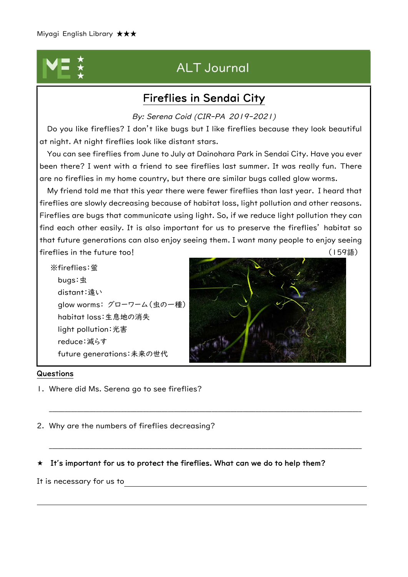# **ALT Journal**

### Fireflies in Sendai City

By: Serena Coid (CIR-PA 2019-2021)

Do you like fireflies? I don't like bugs but I like fireflies because they look beautiful at night. At night fireflies look like distant stars.

You can see fireflies from June to July at Dainohara Park in Sendai City. Have you ever been there? I went with a friend to see fireflies last summer. It was really fun. There are no fireflies in my home country, but there are similar bugs called glow worms.

My friend told me that this year there were fewer fireflies than last year. I heard that fireflies are slowly decreasing because of habitat loss, light pollution and other reasons. Fireflies are bugs that communicate using light. So, if we reduce light pollution they can find each other easily. It is also important for us to preserve the fireflies' habitat so that future generations can also enjoy seeing them. I want many people to enjoy seeing fireflies in the future too! (159語)

※fireflies:蛍 bugs:虫 distant:遠い glow worms: グローワーム(虫の一種) habitat loss:生息地の消失 light pollution:光害 reduce:減らす future generations:未来の世代



#### Questions

1. Where did Ms. Serena go to see fireflies?

2. Why are the numbers of fireflies decreasing?

### It**'**s important for us to protect the fireflies. What can we do to help them?

\_\_\_\_\_\_\_\_\_\_\_\_\_\_\_\_\_\_\_\_\_\_\_\_\_\_\_\_\_\_\_\_\_\_\_\_\_\_\_\_\_\_\_\_\_\_\_\_\_\_\_\_\_\_\_\_\_\_\_\_\_\_\_\_\_\_\_\_\_\_\_\_\_\_\_\_\_\_\_\_\_\_\_\_\_\_\_\_\_\_\_\_\_\_\_\_\_\_\_\_

\_\_\_\_\_\_\_\_\_\_\_\_\_\_\_\_\_\_\_\_\_\_\_\_\_\_\_\_\_\_\_\_\_\_\_\_\_\_\_\_\_\_\_\_\_\_\_\_\_\_\_\_\_\_\_\_\_\_\_\_\_\_\_\_\_\_\_\_\_\_\_\_\_\_\_\_\_\_\_\_\_\_\_\_\_\_\_\_\_\_\_\_\_\_\_\_\_\_\_\_

It is necessary for us to